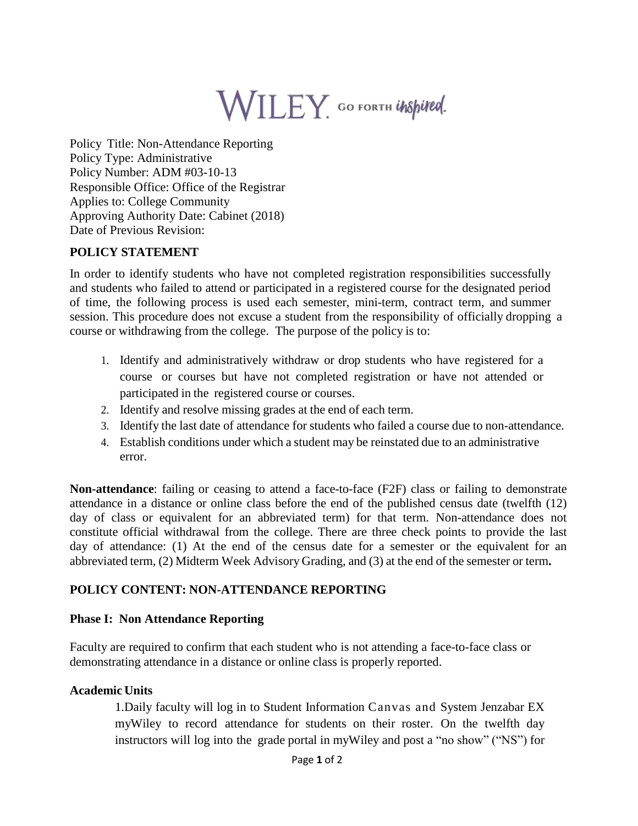# WILEY GO FORTH UNSpired.

Policy Title: Non-Attendance Reporting Policy Type: Administrative Policy Number: ADM #03-10-13 Responsible Office: Office of the Registrar Applies to: College Community Approving Authority Date: Cabinet (2018) Date of Previous Revision:

## **POLICY STATEMENT**

In order to identify students who have not completed registration responsibilities successfully and students who failed to attend or participated in a registered course for the designated period of time, the following process is used each semester, mini-term, contract term, and summer session. This procedure does not excuse a student from the responsibility of officially dropping a course or withdrawing from the college. The purpose of the policy is to:

- 1. Identify and administratively withdraw or drop students who have registered for a course or courses but have not completed registration or have not attended or participated in the registered course or courses.
- 2. Identify and resolve missing grades at the end of each term.
- 3. Identify the last date of attendance for students who failed a course due to non-attendance.
- 4. Establish conditions under which a student may be reinstated due to an administrative error.

**Non-attendance**: failing or ceasing to attend a face-to-face (F2F) class or failing to demonstrate attendance in a distance or online class before the end of the published census date (twelfth (12) day of class or equivalent for an abbreviated term) for that term. Non-attendance does not constitute official withdrawal from the college. There are three check points to provide the last day of attendance: (1) At the end of the census date for a semester or the equivalent for an abbreviated term, (2) Midterm Week Advisory Grading, and (3) at the end of the semester or term**.**

## **POLICY CONTENT: NON-ATTENDANCE REPORTING**

#### **Phase I: Non Attendance Reporting**

Faculty are required to confirm that each student who is not attending a face-to-face class or demonstrating attendance in a distance or online class is properly reported.

#### **Academic Units**

1.Daily faculty will log in to Student Information Canvas and System Jenzabar EX myWiley to record attendance for students on their roster. On the twelfth day instructors will log into the grade portal in myWiley and post a "no show" ("NS") for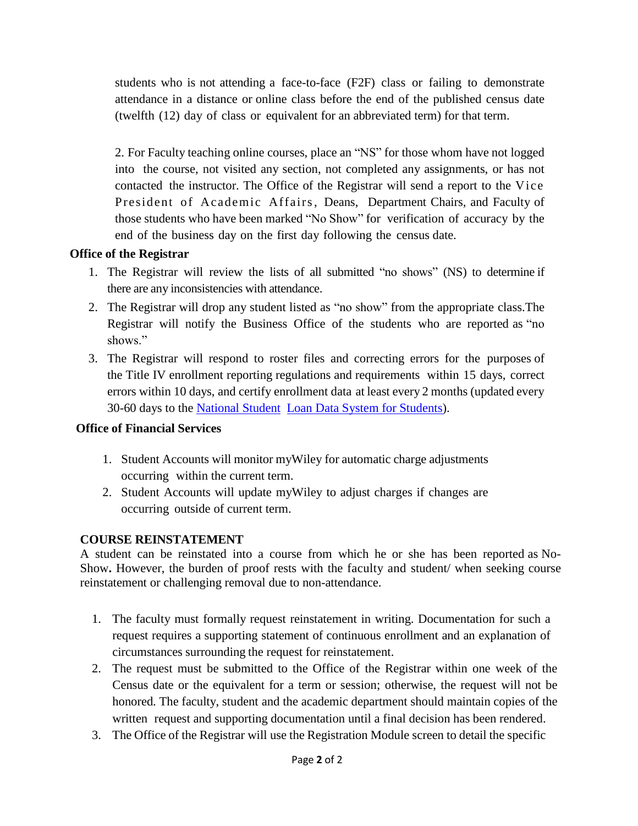students who is not attending a face-to-face (F2F) class or failing to demonstrate attendance in a distance or online class before the end of the published census date (twelfth (12) day of class or equivalent for an abbreviated term) for that term.

2. For Faculty teaching online courses, place an "NS" for those whom have not logged into the course, not visited any section, not completed any assignments, or has not contacted the instructor. The Office of the Registrar will send a report to the Vice President of Academic Affairs, Deans, Department Chairs, and Faculty of those students who have been marked "No Show" for verification of accuracy by the end of the business day on the first day following the census date.

## **Office of the Registrar**

- 1. The Registrar will review the lists of all submitted "no shows" (NS) to determine if there are any inconsistencies with attendance.
- 2. The Registrar will drop any student listed as "no show" from the appropriate class.The Registrar will notify the Business Office of the students who are reported as "no shows."
- 3. The Registrar will respond to roster files and correcting errors for the purposes of the Title IV enrollment reporting regulations and requirements within 15 days, correct errors within 10 days, and certify enrollment data at least every 2 months (updated every 30-60 days to the [National](https://nslds.ed.gov/nslds/nslds_SA/) Student Loan Data [System for](https://nslds.ed.gov/nslds/nslds_SA/) Students).

# **Office of Financial Services**

- 1. Student Accounts will monitor myWiley for automatic charge adjustments occurring within the current term.
- 2. Student Accounts will update myWiley to adjust charges if changes are occurring outside of current term.

# **COURSE REINSTATEMENT**

A student can be reinstated into a course from which he or she has been reported as No-Show**.** However, the burden of proof rests with the faculty and student/ when seeking course reinstatement or challenging removal due to non-attendance.

- 1. The faculty must formally request reinstatement in writing. Documentation for such a request requires a supporting statement of continuous enrollment and an explanation of circumstances surrounding the request for reinstatement.
- 2. The request must be submitted to the Office of the Registrar within one week of the Census date or the equivalent for a term or session; otherwise, the request will not be honored. The faculty, student and the academic department should maintain copies of the written request and supporting documentation until a final decision has been rendered.
- 3. The Office of the Registrar will use the Registration Module screen to detail the specific